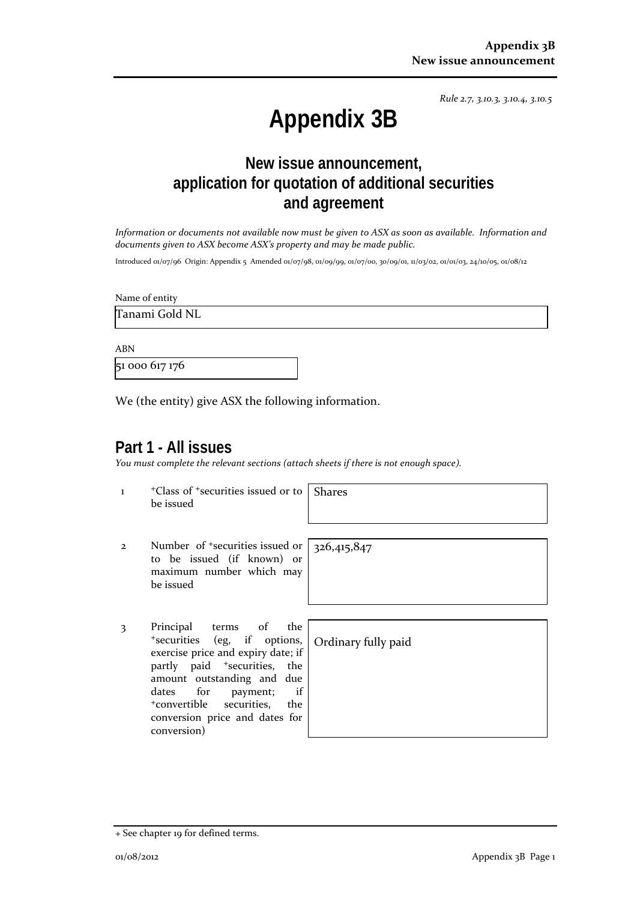*Rule 2.7, 3.10.3, 3.10.4, 3.10.5*

# **Appendix 3B**

## **New issue announcement, application for quotation of additional securities and agreement**

*Information or documents not available now must be given to ASX as soon as available. Information and documents given to ASX become ASX's property and may be made public.*

Introduced 01/07/96 Origin: Appendix 5 Amended 01/07/98, 01/09/99, 01/07/00, 30/09/01, 11/03/02, 01/01/03, 24/10/05, 01/08/12

Name of entity

Tanami Gold NL

ABN

51 000 617 176

We (the entity) give ASX the following information.

#### **Part 1 - All issues**

*You must complete the relevant sections (attach sheets if there is not enough space).*

1 +Class of +securities issued or to be issued Shares

- 2 Number of +securities issued or to be issued (if known) or maximum number which may be issued
- 3 Principal terms of the +securities (eg, if options, exercise price and expiry date; if partly paid <sup>+</sup>securities, the amount outstanding and due dates for payment; if +convertible securities, the conversion price and dates for conversion)

326,415,847

Ordinary fully paid

<sup>+</sup> See chapter 19 for defined terms.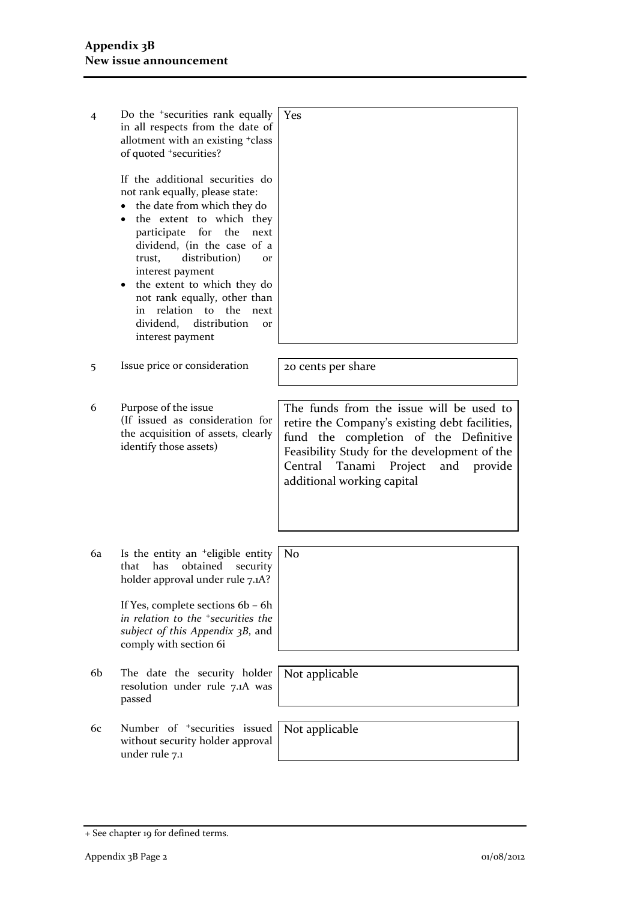| 4  | Do the <sup>+</sup> securities rank equally<br>in all respects from the date of<br>allotment with an existing +class<br>of quoted +securities?                                                                                                                                                                                                                                                                                  | Yes                                                                                                                                                                                                                                                              |
|----|---------------------------------------------------------------------------------------------------------------------------------------------------------------------------------------------------------------------------------------------------------------------------------------------------------------------------------------------------------------------------------------------------------------------------------|------------------------------------------------------------------------------------------------------------------------------------------------------------------------------------------------------------------------------------------------------------------|
|    | If the additional securities do<br>not rank equally, please state:<br>• the date from which they do<br>the extent to which they<br>$\bullet$<br>participate for the<br>next<br>dividend, (in the case of a<br>distribution)<br>trust,<br>or<br>interest payment<br>the extent to which they do<br>٠<br>not rank equally, other than<br>in relation to the<br>next<br>distribution<br>dividend,<br><b>Or</b><br>interest payment |                                                                                                                                                                                                                                                                  |
| 5  | Issue price or consideration                                                                                                                                                                                                                                                                                                                                                                                                    | 20 cents per share                                                                                                                                                                                                                                               |
| 6  | Purpose of the issue<br>(If issued as consideration for<br>the acquisition of assets, clearly<br>identify those assets)                                                                                                                                                                                                                                                                                                         | The funds from the issue will be used to<br>retire the Company's existing debt facilities,<br>fund the completion of the Definitive<br>Feasibility Study for the development of the<br>Tanami<br>Central<br>Project<br>and provide<br>additional working capital |
| 6a | Is the entity an <sup>+</sup> eligible entity<br>obtained security<br>has<br>that<br>holder approval under rule 7.1A?<br>If Yes, complete sections 6b - 6h<br>in relation to the <sup>+</sup> securities the<br>subject of this Appendix 3B, and<br>comply with section 6i                                                                                                                                                      | No                                                                                                                                                                                                                                                               |
| 6b | The date the security holder<br>resolution under rule 7.1A was<br>passed                                                                                                                                                                                                                                                                                                                                                        | Not applicable                                                                                                                                                                                                                                                   |
| 6с | Number of <sup>+</sup> securities issued<br>without security holder approval<br>under rule 7.1                                                                                                                                                                                                                                                                                                                                  | Not applicable                                                                                                                                                                                                                                                   |

<sup>+</sup> See chapter 19 for defined terms.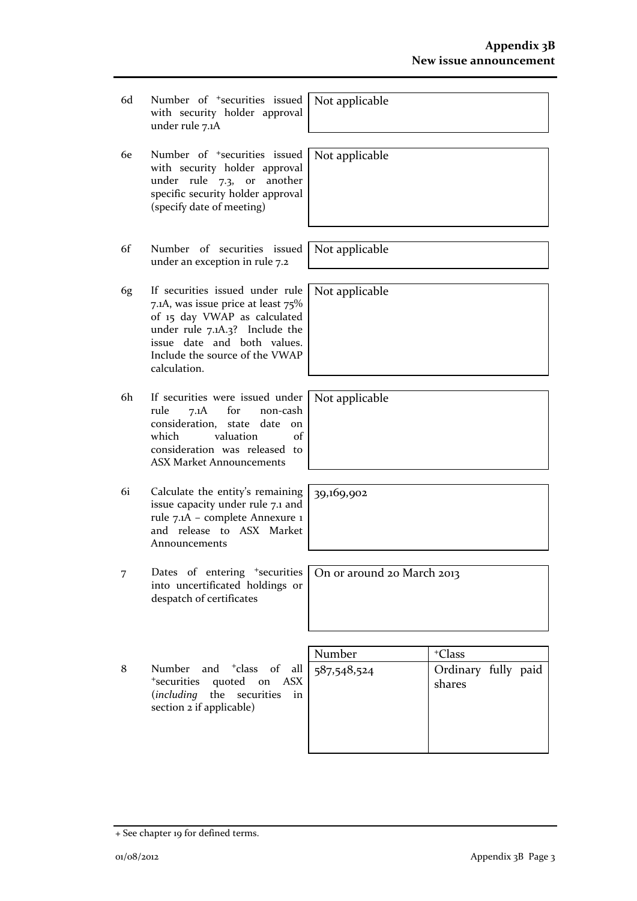- 6d Number of +securities issued with security holder approval under rule 7.1A
- 6e Number of +securities issued with security holder approval under rule 7.3, or another specific security holder approval (specify date of meeting)
- 6f Number of securities issued under an exception in rule 7.2
- 6g If securities issued under rule 7.1A, was issue price at least 75% of 15 day VWAP as calculated under rule 7.1A.3? Include the issue date and both values. Include the source of the VWAP calculation.
- 6h If securities were issued under rule 7.1A for non-cash consideration, state date on which valuation of consideration was released to ASX Market Announcements
- 6i Calculate the entity's remaining issue capacity under rule 7.1 and rule 7.1A – complete Annexure 1 and release to ASX Market Announcements
- 7 Dates of entering <sup>+</sup>securities into uncertificated holdings or despatch of certificates
- 8 Number and <sup>+</sup>class of all <sup>+</sup>securities quoted on ASX (*including* the securities in section 2 if applicable)

| Number      | <sup>+</sup> Class            |
|-------------|-------------------------------|
| 587,548,524 | Ordinary fully paid<br>shares |

Not applicable

Not applicable

Not applicable

Not applicable

Not applicable

39,169,902

On or around 20 March 2013

+ See chapter 19 for defined terms.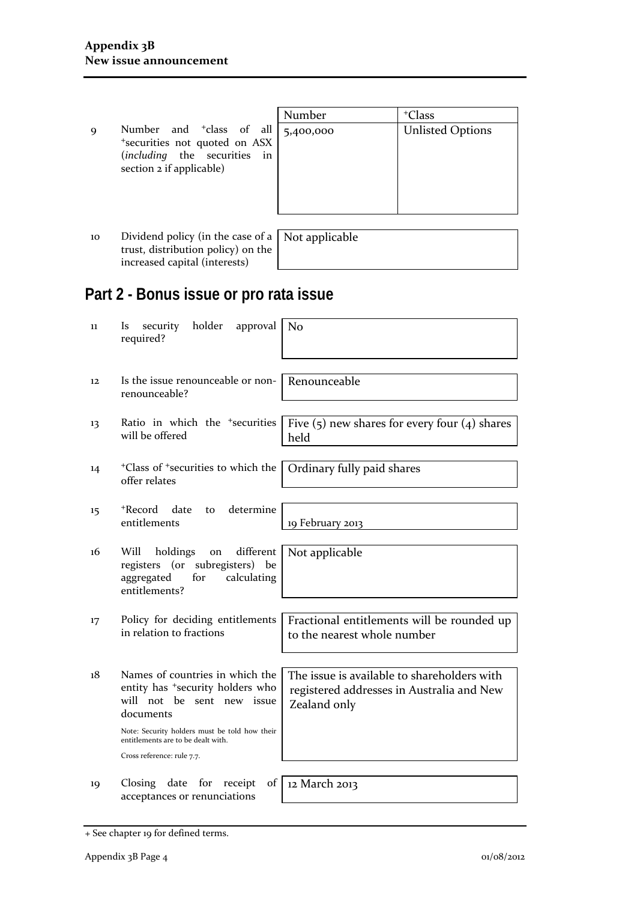9 Number and <sup>+</sup>class of a +securities not quoted on AS (*including* the securities in section 2 if applicable)

|        | Number    | <sup>+</sup> Class      |
|--------|-----------|-------------------------|
| վ<br>Х | 5,400,000 | <b>Unlisted Options</b> |
| in     |           |                         |
|        |           |                         |
|        |           |                         |

10 Dividend policy (in the case of a trust, distribution policy) on the increased capital (interests)

Not applicable

# **Part 2 - Bonus issue or pro rata issue**

| 11                | holder<br>approval<br>security<br><i>ls</i><br>required?                                                                                                                                                                                        | No                                                                                                       |
|-------------------|-------------------------------------------------------------------------------------------------------------------------------------------------------------------------------------------------------------------------------------------------|----------------------------------------------------------------------------------------------------------|
| $12 \overline{ }$ | Is the issue renounceable or non-<br>renounceable?                                                                                                                                                                                              | Renounceable                                                                                             |
| 13                | Ratio in which the <sup>+</sup> securities<br>will be offered                                                                                                                                                                                   | Five $(5)$ new shares for every four $(4)$ shares<br>held                                                |
| 14                | <sup>+</sup> Class of <sup>+</sup> securities to which the<br>offer relates                                                                                                                                                                     | Ordinary fully paid shares                                                                               |
| 15                | +Record<br>date<br>determine<br>to<br>entitlements                                                                                                                                                                                              | 19 February 2013                                                                                         |
| 16                | different<br>Will<br>holdings<br>on<br>registers (or subregisters) be<br>aggregated<br>for<br>calculating<br>entitlements?                                                                                                                      | Not applicable                                                                                           |
| 17                | Policy for deciding entitlements<br>in relation to fractions                                                                                                                                                                                    | Fractional entitlements will be rounded up<br>to the nearest whole number                                |
| 18                | Names of countries in which the<br>entity has <sup>+</sup> security holders who<br>will not be sent new issue<br>documents<br>Note: Security holders must be told how their<br>entitlements are to be dealt with.<br>Cross reference: rule 7.7. | The issue is available to shareholders with<br>registered addresses in Australia and New<br>Zealand only |
| 19                | Closing date for<br>receipt<br>of<br>acceptances or renunciations                                                                                                                                                                               | 12 March 2013                                                                                            |

<sup>+</sup> See chapter 19 for defined terms.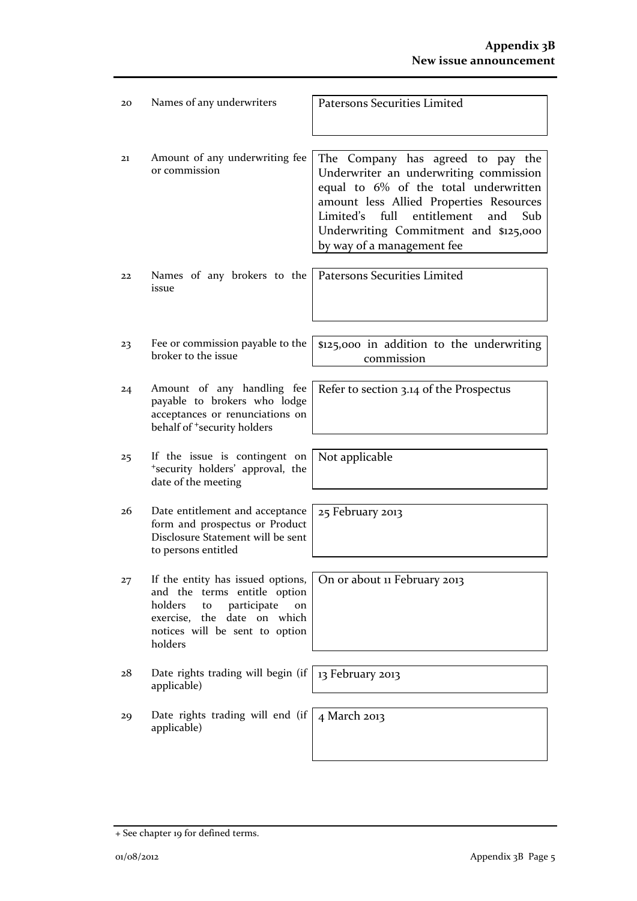| 20 | Names of any underwriters                                                                                                                                                           | <b>Patersons Securities Limited</b>                                                                                                                                                                                                                                                               |
|----|-------------------------------------------------------------------------------------------------------------------------------------------------------------------------------------|---------------------------------------------------------------------------------------------------------------------------------------------------------------------------------------------------------------------------------------------------------------------------------------------------|
|    |                                                                                                                                                                                     |                                                                                                                                                                                                                                                                                                   |
| 21 | Amount of any underwriting fee<br>or commission                                                                                                                                     | The Company has agreed to pay the<br>Underwriter an underwriting commission<br>equal to 6% of the total underwritten<br>amount less Allied Properties Resources<br>entitlement<br>Limited's full<br>and<br>S <sub>th</sub><br>Underwriting Commitment and \$125,000<br>by way of a management fee |
|    |                                                                                                                                                                                     |                                                                                                                                                                                                                                                                                                   |
| 22 | Names of any brokers to the<br>issue                                                                                                                                                | Patersons Securities Limited                                                                                                                                                                                                                                                                      |
|    |                                                                                                                                                                                     |                                                                                                                                                                                                                                                                                                   |
| 23 | Fee or commission payable to the<br>broker to the issue                                                                                                                             | \$125,000 in addition to the underwriting<br>commission                                                                                                                                                                                                                                           |
|    |                                                                                                                                                                                     |                                                                                                                                                                                                                                                                                                   |
| 24 | Amount of any handling fee<br>payable to brokers who lodge<br>acceptances or renunciations on<br>behalf of <sup>+</sup> security holders                                            | Refer to section 3.14 of the Prospectus                                                                                                                                                                                                                                                           |
|    |                                                                                                                                                                                     |                                                                                                                                                                                                                                                                                                   |
| 25 | If the issue is contingent on<br>*security holders' approval, the<br>date of the meeting                                                                                            | Not applicable                                                                                                                                                                                                                                                                                    |
|    |                                                                                                                                                                                     |                                                                                                                                                                                                                                                                                                   |
| 26 | Date entitlement and acceptance<br>form and prospectus or Product<br>Disclosure Statement will be sent<br>to persons entitled                                                       | 25 February 2013                                                                                                                                                                                                                                                                                  |
|    |                                                                                                                                                                                     |                                                                                                                                                                                                                                                                                                   |
| 27 | If the entity has issued options,<br>and the terms entitle option<br>holders<br>participate<br>to<br>on<br>exercise, the date on which<br>notices will be sent to option<br>holders | On or about 11 February 2013                                                                                                                                                                                                                                                                      |
|    |                                                                                                                                                                                     |                                                                                                                                                                                                                                                                                                   |
| 28 | Date rights trading will begin (if<br>applicable)                                                                                                                                   | 13 February 2013                                                                                                                                                                                                                                                                                  |
| 29 | Date rights trading will end (if                                                                                                                                                    | 4 March 2013                                                                                                                                                                                                                                                                                      |
|    | applicable)                                                                                                                                                                         |                                                                                                                                                                                                                                                                                                   |

<sup>+</sup> See chapter 19 for defined terms.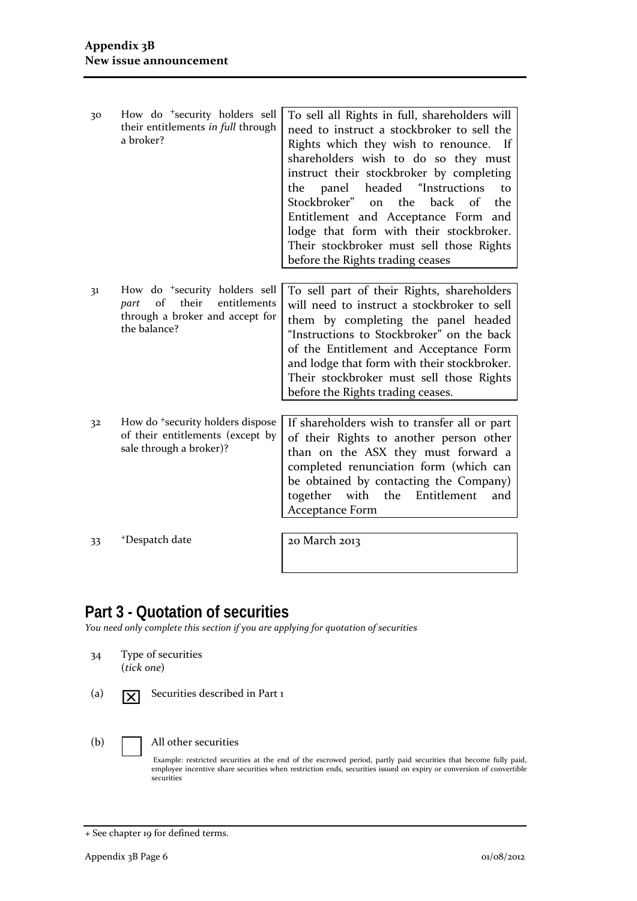| 30 | How do <sup>+</sup> security holders sell<br>their entitlements in full through<br>a broker?                                        | To sell all Rights in full, shareholders will<br>need to instruct a stockbroker to sell the<br>Rights which they wish to renounce. If<br>shareholders wish to do so they must<br>instruct their stockbroker by completing<br>panel<br>headed "Instructions<br>the<br>to<br>Stockbroker"<br>back<br>on the<br>of<br>the<br>Entitlement and Acceptance Form and<br>lodge that form with their stockbroker.<br>Their stockbroker must sell those Rights |
|----|-------------------------------------------------------------------------------------------------------------------------------------|------------------------------------------------------------------------------------------------------------------------------------------------------------------------------------------------------------------------------------------------------------------------------------------------------------------------------------------------------------------------------------------------------------------------------------------------------|
|    |                                                                                                                                     | before the Rights trading ceases                                                                                                                                                                                                                                                                                                                                                                                                                     |
|    |                                                                                                                                     |                                                                                                                                                                                                                                                                                                                                                                                                                                                      |
| 31 | How do <sup>+</sup> security holders sell<br>of<br>their<br>entitlements<br>part<br>through a broker and accept for<br>the balance? | To sell part of their Rights, shareholders<br>will need to instruct a stockbroker to sell<br>them by completing the panel headed<br>"Instructions to Stockbroker" on the back<br>of the Entitlement and Acceptance Form<br>and lodge that form with their stockbroker.<br>Their stockbroker must sell those Rights<br>before the Rights trading ceases.                                                                                              |
|    |                                                                                                                                     |                                                                                                                                                                                                                                                                                                                                                                                                                                                      |
| 32 | How do <sup>+</sup> security holders dispose<br>of their entitlements (except by<br>sale through a broker)?                         | If shareholders wish to transfer all or part<br>of their Rights to another person other<br>than on the ASX they must forward a<br>completed renunciation form (which can<br>be obtained by contacting the Company)<br>together with the<br>Entitlement<br>and<br>Acceptance Form                                                                                                                                                                     |

33 +Despatch date 20 a0 March 2013

## **Part 3 - Quotation of securities**

*You need only complete this section if you are applying for quotation of securities*

- 34 Type of securities (*tick one*)
- 

(a)  $\boxed{\times}$  Securities described in Part 1

#### (b) All other securities

Example: restricted securities at the end of the escrowed period, partly paid securities that become fully paid, employee incentive share securities when restriction ends, securities issued on expiry or conversion of convertible securities

<sup>+</sup> See chapter 19 for defined terms.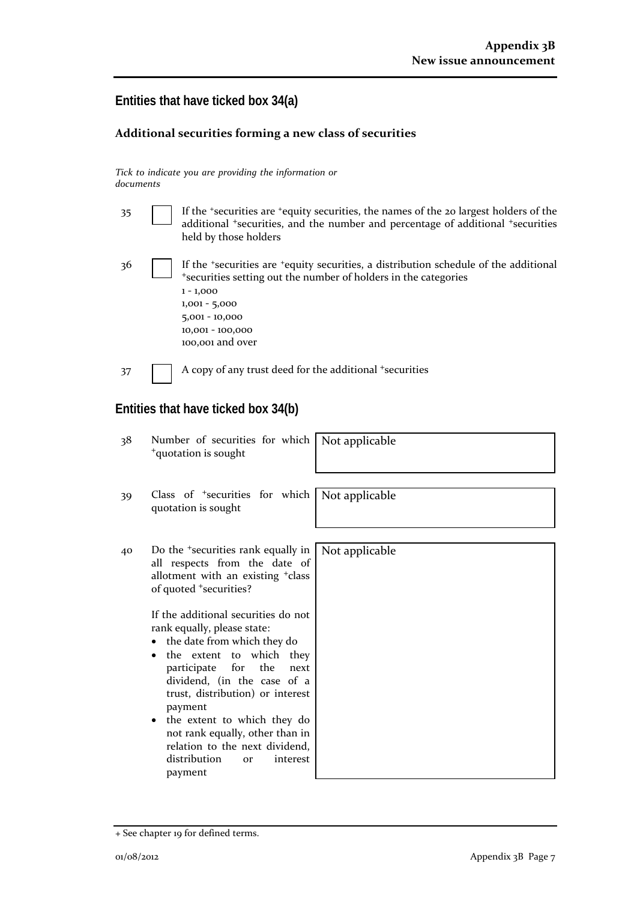## **Entities that have ticked box 34(a)**

#### **Additional securities forming a new class of securities**

*Tick to indicate you are providing the information or documents*

| 35 | If the 'securities are 'equity securities, the names of the 20 largest holders of the<br>additional <i>*securities</i> , and the number and percentage of additional <i>*securities</i><br>held by those holders                                                                                                                                                                                                                                                                                                                                                                   |  |  |
|----|------------------------------------------------------------------------------------------------------------------------------------------------------------------------------------------------------------------------------------------------------------------------------------------------------------------------------------------------------------------------------------------------------------------------------------------------------------------------------------------------------------------------------------------------------------------------------------|--|--|
| 36 | If the 'securities are 'equity securities, a distribution schedule of the additional<br>*securities setting out the number of holders in the categories<br>$1 - 1,000$<br>$1,001 - 5,000$<br>5,001 - 10,000<br>10,001 - 100,000<br>100,001 and over                                                                                                                                                                                                                                                                                                                                |  |  |
| 37 | A copy of any trust deed for the additional + securities                                                                                                                                                                                                                                                                                                                                                                                                                                                                                                                           |  |  |
|    | Entities that have ticked box 34(b)                                                                                                                                                                                                                                                                                                                                                                                                                                                                                                                                                |  |  |
| 38 | Number of securities for which<br>Not applicable<br><sup>+</sup> quotation is sought                                                                                                                                                                                                                                                                                                                                                                                                                                                                                               |  |  |
| 39 | Class of <sup>+</sup> securities for which<br>Not applicable<br>quotation is sought                                                                                                                                                                                                                                                                                                                                                                                                                                                                                                |  |  |
| 40 | Do the <sup>+</sup> securities rank equally in<br>Not applicable<br>all respects from the date of<br>allotment with an existing <sup>+</sup> class<br>of quoted *securities?<br>If the additional securities do not<br>rank equally, please state:<br>the date from which they do<br>٠<br>the extent to which they<br>participate for the next<br>dividend, (in the case of a<br>trust, distribution) or interest<br>payment<br>the extent to which they do<br>٠<br>not rank equally, other than in<br>relation to the next dividend,<br>distribution<br>or<br>interest<br>payment |  |  |

<sup>+</sup> See chapter 19 for defined terms.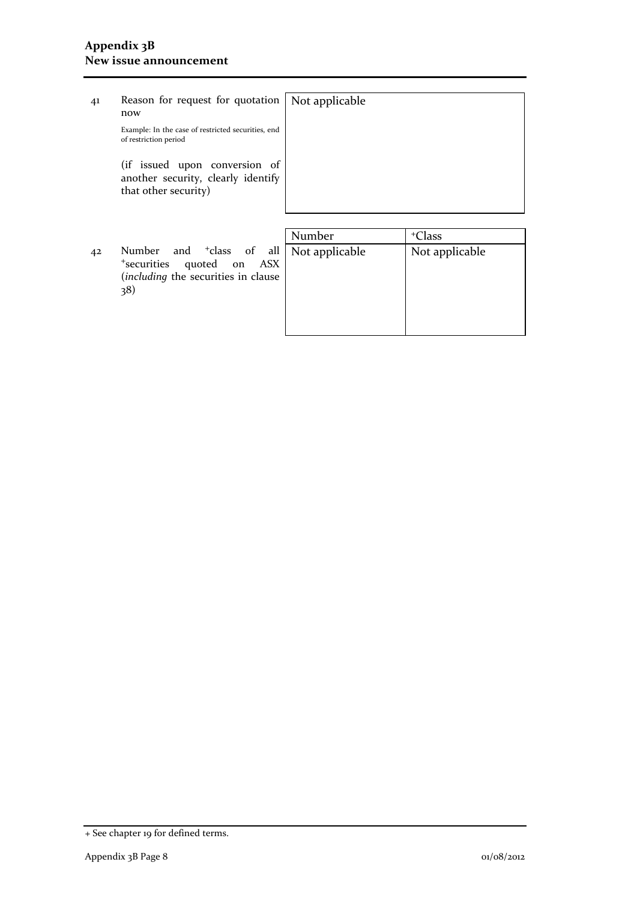## 41 Reason for request for quotation now Example: In the case of restricted securities, end of restriction period (if issued upon conversion of another security, clearly identify that other security) Not applicable

42 Number and <sup>+</sup>class of all <sup>+</sup>securities quoted on ASX (*including* the securities in clause 38)

| Number         | <sup>+</sup> Class |
|----------------|--------------------|
| Not applicable | Not applicable     |
|                |                    |
|                |                    |
|                |                    |
|                |                    |
|                |                    |

<sup>+</sup> See chapter 19 for defined terms.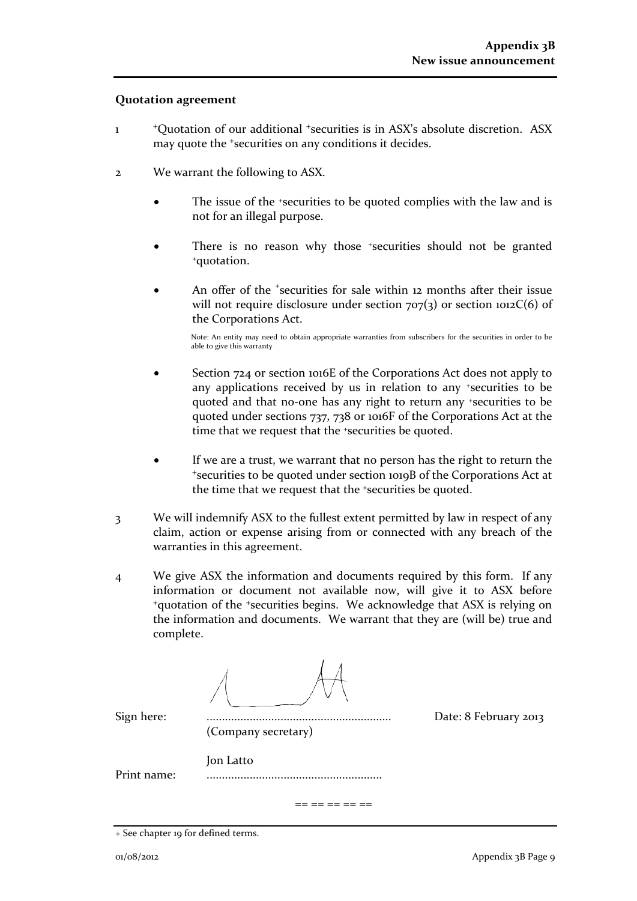#### **Quotation agreement**

- 1 <sup>+</sup>Quotation of our additional +securities is in ASX's absolute discretion. ASX may quote the +securities on any conditions it decides.
- 2 We warrant the following to ASX.
	- The issue of the *\*securities* to be quoted complies with the law and is not for an illegal purpose.
	- There is no reason why those +securities should not be granted +quotation.
	- An offer of the <sup>+</sup>securities for sale within 12 months after their issue will not require disclosure under section  $707(3)$  or section  $1012C(6)$  of the Corporations Act.

Note: An entity may need to obtain appropriate warranties from subscribers for the securities in order to be able to give this warranty

- Section 724 or section 1016E of the Corporations Act does not apply to any applications received by us in relation to any +securities to be quoted and that no-one has any right to return any +securities to be quoted under sections 737, 738 or 1016F of the Corporations Act at the time that we request that the <sup>+</sup>securities be quoted.
- If we are a trust, we warrant that no person has the right to return the <sup>+</sup>securities to be quoted under section 1019B of the Corporations Act at the time that we request that the +securities be quoted.
- 3 We will indemnify ASX to the fullest extent permitted by law in respect of any claim, action or expense arising from or connected with any breach of the warranties in this agreement.
- 4 We give ASX the information and documents required by this form. If any information or document not available now, will give it to ASX before <sup>+</sup>quotation of the +securities begins. We acknowledge that ASX is relying on the information and documents. We warrant that they are (will be) true and complete.

| Sign here:  | (Company secretary) | Date: 8 February 2013 |
|-------------|---------------------|-----------------------|
| Print name: | Jon Latto           |                       |
|             |                     |                       |

<sup>+</sup> See chapter 19 for defined terms.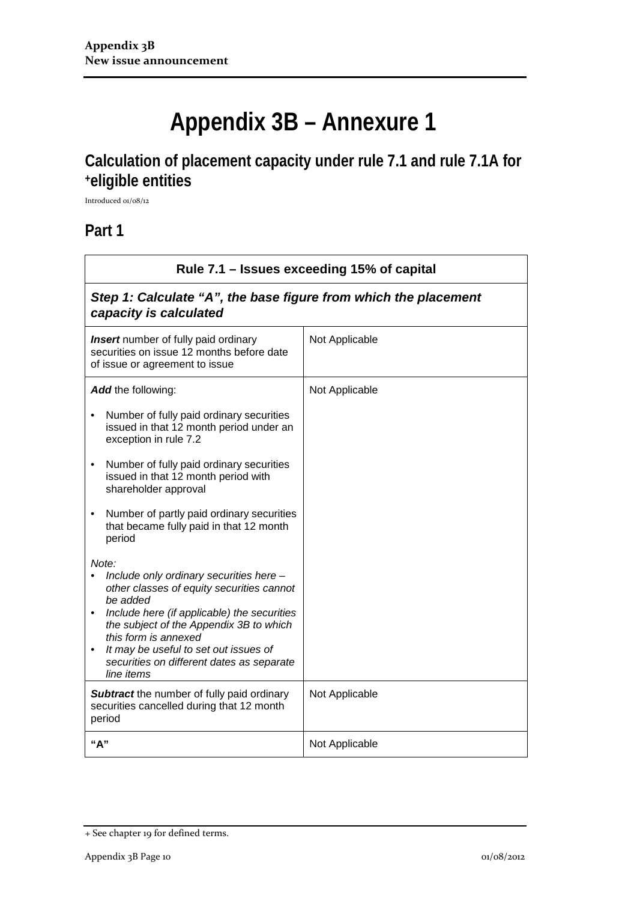# **Appendix 3B – Annexure 1**

# **Calculation of placement capacity under rule 7.1 and rule 7.1A for +eligible entities**

Introduced 01/08/12

### **Part 1**

| Rule 7.1 – Issues exceeding 15% of capital                                                                                                                                                                                                                                                                                                                |                |  |
|-----------------------------------------------------------------------------------------------------------------------------------------------------------------------------------------------------------------------------------------------------------------------------------------------------------------------------------------------------------|----------------|--|
| Step 1: Calculate "A", the base figure from which the placement<br>capacity is calculated                                                                                                                                                                                                                                                                 |                |  |
| <b>Insert</b> number of fully paid ordinary<br>Not Applicable<br>securities on issue 12 months before date<br>of issue or agreement to issue                                                                                                                                                                                                              |                |  |
| Add the following:                                                                                                                                                                                                                                                                                                                                        | Not Applicable |  |
| Number of fully paid ordinary securities<br>issued in that 12 month period under an<br>exception in rule 7.2                                                                                                                                                                                                                                              |                |  |
| Number of fully paid ordinary securities<br>$\bullet$<br>issued in that 12 month period with<br>shareholder approval                                                                                                                                                                                                                                      |                |  |
| Number of partly paid ordinary securities<br>$\bullet$<br>that became fully paid in that 12 month<br>period                                                                                                                                                                                                                                               |                |  |
| Note:<br>Include only ordinary securities here -<br>$\bullet$<br>other classes of equity securities cannot<br>be added<br>Include here (if applicable) the securities<br>the subject of the Appendix 3B to which<br>this form is annexed<br>It may be useful to set out issues of<br>$\bullet$<br>securities on different dates as separate<br>line items |                |  |
| <b>Subtract</b> the number of fully paid ordinary<br>securities cancelled during that 12 month<br>period                                                                                                                                                                                                                                                  | Not Applicable |  |
| "А"                                                                                                                                                                                                                                                                                                                                                       | Not Applicable |  |

<sup>+</sup> See chapter 19 for defined terms.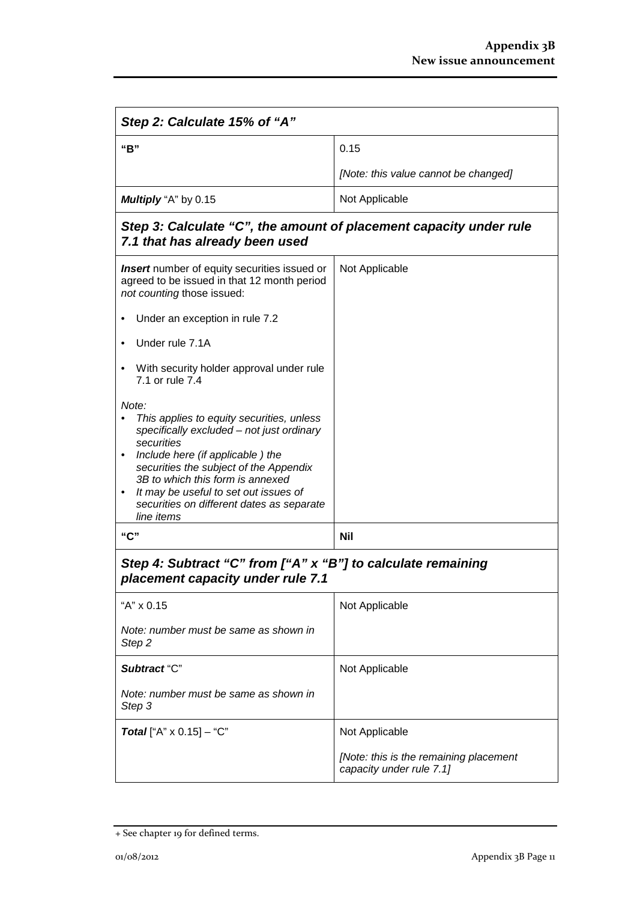| Step 2: Calculate 15% of "A"                                                                                                                                                                                                                                                                                                                     |                                                                    |  |
|--------------------------------------------------------------------------------------------------------------------------------------------------------------------------------------------------------------------------------------------------------------------------------------------------------------------------------------------------|--------------------------------------------------------------------|--|
| "B"                                                                                                                                                                                                                                                                                                                                              | 0.15                                                               |  |
|                                                                                                                                                                                                                                                                                                                                                  | [Note: this value cannot be changed]                               |  |
| Multiply "A" by 0.15                                                                                                                                                                                                                                                                                                                             | Not Applicable                                                     |  |
| Step 3: Calculate "C", the amount of placement capacity under rule<br>7.1 that has already been used                                                                                                                                                                                                                                             |                                                                    |  |
| <b>Insert</b> number of equity securities issued or<br>agreed to be issued in that 12 month period<br>not counting those issued:                                                                                                                                                                                                                 | Not Applicable                                                     |  |
| Under an exception in rule 7.2                                                                                                                                                                                                                                                                                                                   |                                                                    |  |
| Under rule 7.1A                                                                                                                                                                                                                                                                                                                                  |                                                                    |  |
| With security holder approval under rule<br>7.1 or rule 7.4                                                                                                                                                                                                                                                                                      |                                                                    |  |
| Note:<br>This applies to equity securities, unless<br>specifically excluded - not just ordinary<br>securities<br>Include here (if applicable) the<br>securities the subject of the Appendix<br>3B to which this form is annexed<br>It may be useful to set out issues of<br>$\bullet$<br>securities on different dates as separate<br>line items |                                                                    |  |
| "C"                                                                                                                                                                                                                                                                                                                                              | <b>Nil</b>                                                         |  |
| Step 4: Subtract "C" from ["A" x "B"] to calculate remaining<br>placement capacity under rule 7.1                                                                                                                                                                                                                                                |                                                                    |  |
| "A" x 0.15                                                                                                                                                                                                                                                                                                                                       | Not Applicable                                                     |  |
| Note: number must be same as shown in<br>Step <sub>2</sub>                                                                                                                                                                                                                                                                                       |                                                                    |  |
| Subtract "C"                                                                                                                                                                                                                                                                                                                                     | Not Applicable                                                     |  |
| Note: number must be same as shown in<br>Step 3                                                                                                                                                                                                                                                                                                  |                                                                    |  |
| <b>Total</b> ["A" $\times$ 0.15] – "C"                                                                                                                                                                                                                                                                                                           | Not Applicable                                                     |  |
|                                                                                                                                                                                                                                                                                                                                                  | [Note: this is the remaining placement<br>capacity under rule 7.1] |  |

<sup>+</sup> See chapter 19 for defined terms.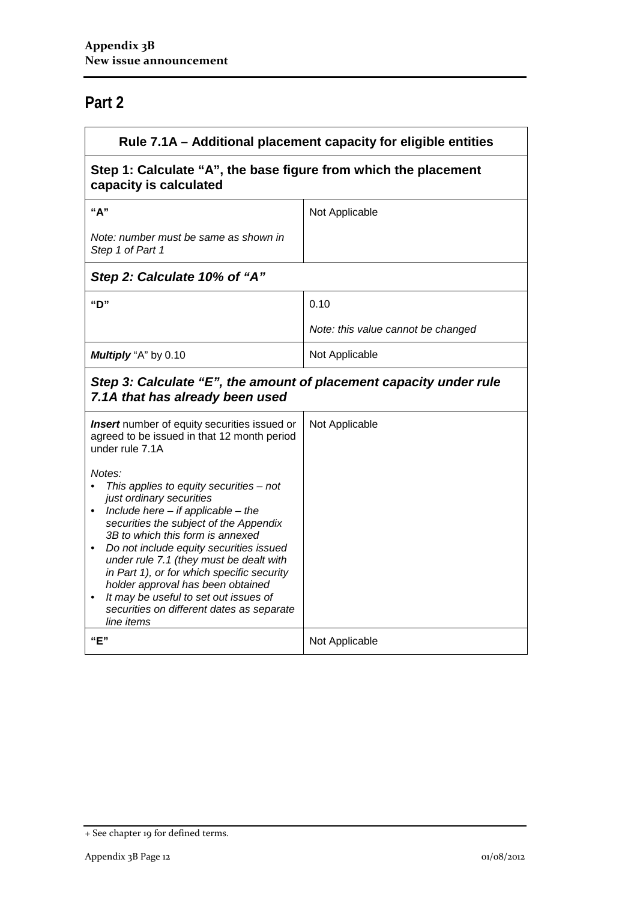# **Part 2**

| Rule 7.1A - Additional placement capacity for eligible entities                                                                                                                                                                                                                                                                                                                                                                                                                                     |                                    |  |
|-----------------------------------------------------------------------------------------------------------------------------------------------------------------------------------------------------------------------------------------------------------------------------------------------------------------------------------------------------------------------------------------------------------------------------------------------------------------------------------------------------|------------------------------------|--|
| Step 1: Calculate "A", the base figure from which the placement<br>capacity is calculated                                                                                                                                                                                                                                                                                                                                                                                                           |                                    |  |
| "A"                                                                                                                                                                                                                                                                                                                                                                                                                                                                                                 | Not Applicable                     |  |
| Note: number must be same as shown in<br>Step 1 of Part 1                                                                                                                                                                                                                                                                                                                                                                                                                                           |                                    |  |
| Step 2: Calculate 10% of "A"                                                                                                                                                                                                                                                                                                                                                                                                                                                                        |                                    |  |
| "D"                                                                                                                                                                                                                                                                                                                                                                                                                                                                                                 | 0.10                               |  |
|                                                                                                                                                                                                                                                                                                                                                                                                                                                                                                     | Note: this value cannot be changed |  |
| Multiply "A" by 0.10                                                                                                                                                                                                                                                                                                                                                                                                                                                                                | Not Applicable                     |  |
| Step 3: Calculate "E", the amount of placement capacity under rule<br>7.1A that has already been used                                                                                                                                                                                                                                                                                                                                                                                               |                                    |  |
| <b>Insert</b> number of equity securities issued or<br>agreed to be issued in that 12 month period<br>under rule 7.1A                                                                                                                                                                                                                                                                                                                                                                               | Not Applicable                     |  |
| Notes:<br>This applies to equity securities $-$ not<br>just ordinary securities<br>• Include here $-$ if applicable $-$ the<br>securities the subject of the Appendix<br>3B to which this form is annexed<br>Do not include equity securities issued<br>under rule 7.1 (they must be dealt with<br>in Part 1), or for which specific security<br>holder approval has been obtained<br>It may be useful to set out issues of<br>$\bullet$<br>securities on different dates as separate<br>line items |                                    |  |
| "E"                                                                                                                                                                                                                                                                                                                                                                                                                                                                                                 | Not Applicable                     |  |

<sup>+</sup> See chapter 19 for defined terms.